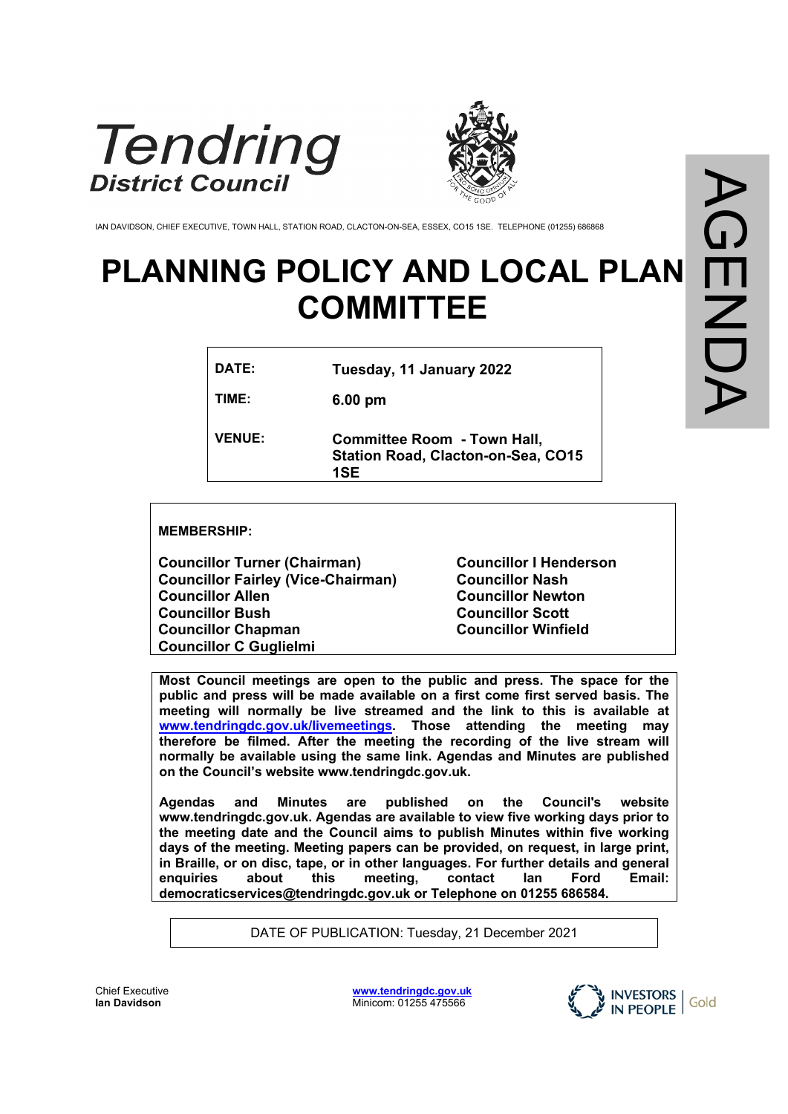



IAN DAVIDSON, CHIEF EXECUTIVE, TOWN HALL, STATION ROAD, CLACTON-ON-SEA, ESSEX, CO15 1SE. TELEPHONE (01255) 686868

## **PLANNING POLICY AND LOCAL PLAN COMMITTEE**

| DATE:         | Tuesday, 11 January 2022                                                               |
|---------------|----------------------------------------------------------------------------------------|
| TIME:         | $6.00 \text{ pm}$                                                                      |
| <b>VENUE:</b> | <b>Committee Room - Town Hall,</b><br><b>Station Road, Clacton-on-Sea, CO15</b><br>1SF |

**MEMBERSHIP:**

**Councillor Turner (Chairman) Councillor Fairley (Vice-Chairman) Councillor Allen Councillor Bush Councillor Chapman Councillor C Guglielmi**

**Councillor I Henderson Councillor Nash Councillor Newton Councillor Scott Councillor Winfield**

**Most Council meetings are open to the public and press. The space for the public and press will be made available on a first come first served basis. The meeting will normally be live streamed and the link to this is available at [www.tendringdc.gov.uk/livemeetings](http://www.tendringdc.gov.uk/livemeetings). Those attending the meeting may therefore be filmed. After the meeting the recording of the live stream will normally be available using the same link. Agendas and Minutes are published on the Council's website www.tendringdc.gov.uk.**

**Agendas and Minutes are published on the Council's website [www.](http://www.basildon/)tendringdc.gov.uk. Agendas are available to view five working days prior to the meeting date and the Council aims to publish Minutes within five working days of the meeting. Meeting papers can be provided, on request, in large print, in Braille, or on disc, tape, or in other languages. For further details and general enquiries about this meeting, contact Ian Ford Email: democraticservices@tendringdc.gov.uk or Telephone on 01255 686584.**

DATE OF PUBLICATION: Tuesday, 21 December 2021

Chief Executive **Ian Davidson** 

**[www.tendringdc.gov.uk](http://www.tendringdc.gov.uk/)** Minicom: 01255 475566

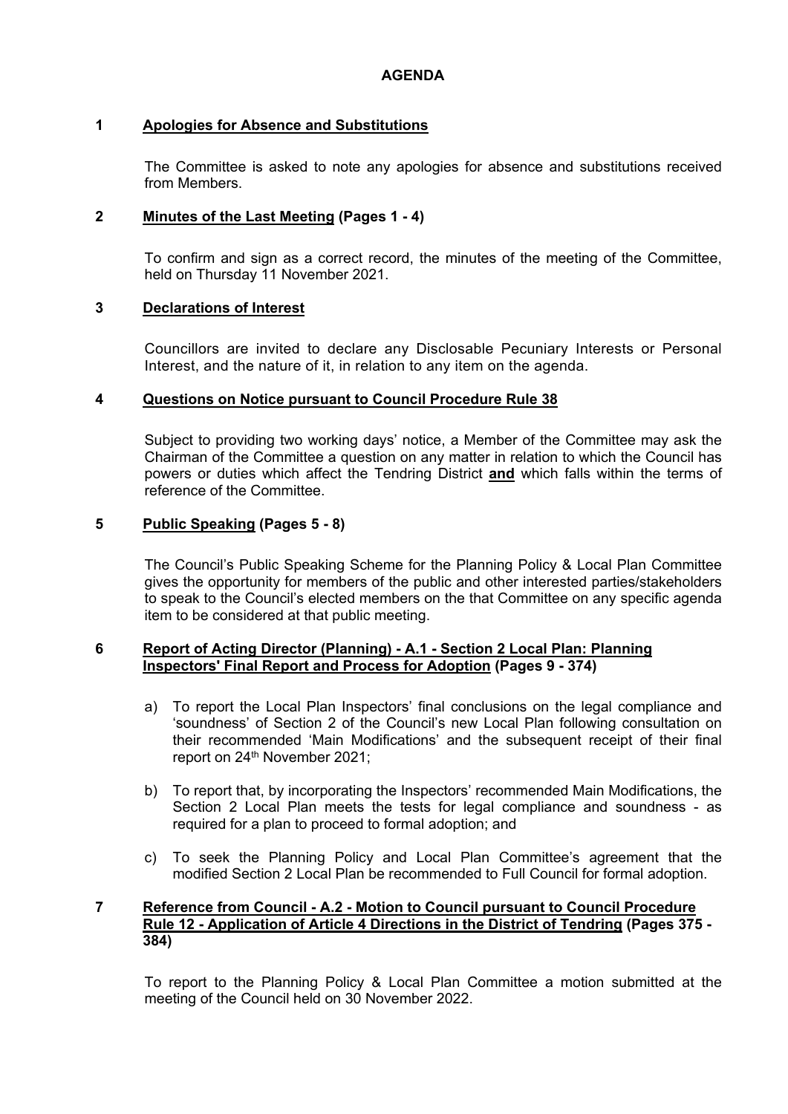#### **1 Apologies for Absence and Substitutions**

The Committee is asked to note any apologies for absence and substitutions received from Members.

#### **2 Minutes of the Last Meeting (Pages 1 - 4)**

To confirm and sign as a correct record, the minutes of the meeting of the Committee, held on Thursday 11 November 2021.

#### **3 Declarations of Interest**

Councillors are invited to declare any Disclosable Pecuniary Interests or Personal Interest, and the nature of it, in relation to any item on the agenda.

#### **4 Questions on Notice pursuant to Council Procedure Rule 38**

Subject to providing two working days' notice, a Member of the Committee may ask the Chairman of the Committee a question on any matter in relation to which the Council has powers or duties which affect the Tendring District **and** which falls within the terms of reference of the Committee.

#### **5 Public Speaking (Pages 5 - 8)**

The Council's Public Speaking Scheme for the Planning Policy & Local Plan Committee gives the opportunity for members of the public and other interested parties/stakeholders to speak to the Council's elected members on the that Committee on any specific agenda item to be considered at that public meeting.

#### **6 Report of Acting Director (Planning) - A.1 - Section 2 Local Plan: Planning Inspectors' Final Report and Process for Adoption (Pages 9 - 374)**

- a) To report the Local Plan Inspectors' final conclusions on the legal compliance and 'soundness' of Section 2 of the Council's new Local Plan following consultation on their recommended 'Main Modifications' and the subsequent receipt of their final report on 24<sup>th</sup> November 2021;
- b) To report that, by incorporating the Inspectors' recommended Main Modifications, the Section 2 Local Plan meets the tests for legal compliance and soundness - as required for a plan to proceed to formal adoption; and
- c) To seek the Planning Policy and Local Plan Committee's agreement that the modified Section 2 Local Plan be recommended to Full Council for formal adoption.

#### **7 Reference from Council - A.2 - Motion to Council pursuant to Council Procedure Rule 12 - Application of Article 4 Directions in the District of Tendring (Pages 375 - 384)**

To report to the Planning Policy & Local Plan Committee a motion submitted at the meeting of the Council held on 30 November 2022.